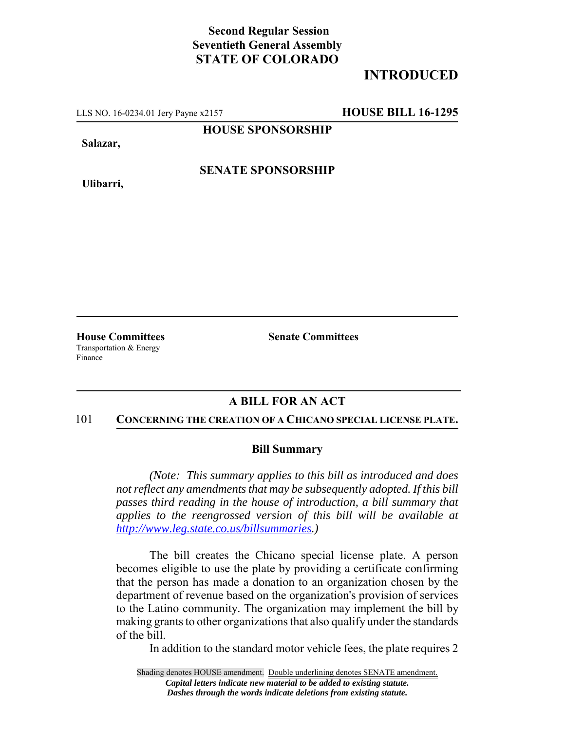## **Second Regular Session Seventieth General Assembly STATE OF COLORADO**

# **INTRODUCED**

LLS NO. 16-0234.01 Jery Payne x2157 **HOUSE BILL 16-1295**

**HOUSE SPONSORSHIP**

**Salazar,**

**Ulibarri,**

**SENATE SPONSORSHIP**

Transportation & Energy Finance

**House Committees Senate Committees** 

## **A BILL FOR AN ACT**

#### 101 **CONCERNING THE CREATION OF A CHICANO SPECIAL LICENSE PLATE.**

### **Bill Summary**

*(Note: This summary applies to this bill as introduced and does not reflect any amendments that may be subsequently adopted. If this bill passes third reading in the house of introduction, a bill summary that applies to the reengrossed version of this bill will be available at http://www.leg.state.co.us/billsummaries.)*

The bill creates the Chicano special license plate. A person becomes eligible to use the plate by providing a certificate confirming that the person has made a donation to an organization chosen by the department of revenue based on the organization's provision of services to the Latino community. The organization may implement the bill by making grants to other organizations that also qualify under the standards of the bill.

In addition to the standard motor vehicle fees, the plate requires 2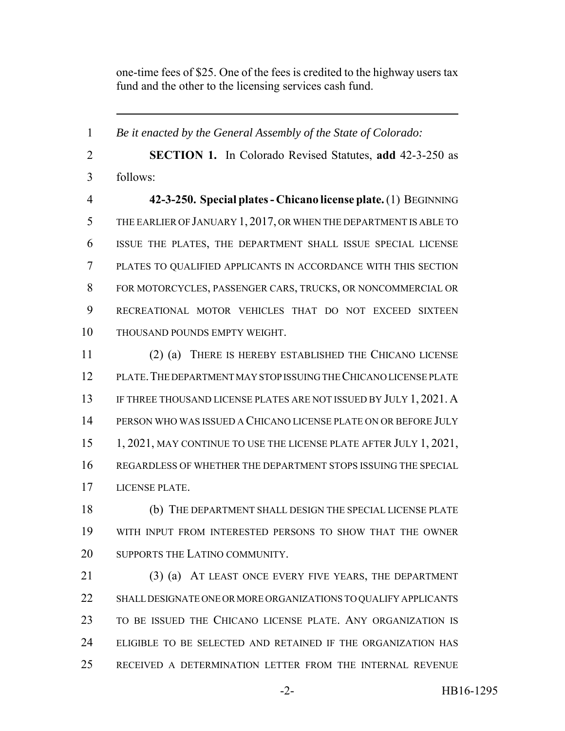one-time fees of \$25. One of the fees is credited to the highway users tax fund and the other to the licensing services cash fund.

 *Be it enacted by the General Assembly of the State of Colorado:* **SECTION 1.** In Colorado Revised Statutes, **add** 42-3-250 as follows: **42-3-250. Special plates - Chicano license plate.** (1) BEGINNING THE EARLIER OF JANUARY 1, 2017, OR WHEN THE DEPARTMENT IS ABLE TO ISSUE THE PLATES, THE DEPARTMENT SHALL ISSUE SPECIAL LICENSE PLATES TO QUALIFIED APPLICANTS IN ACCORDANCE WITH THIS SECTION FOR MOTORCYCLES, PASSENGER CARS, TRUCKS, OR NONCOMMERCIAL OR RECREATIONAL MOTOR VEHICLES THAT DO NOT EXCEED SIXTEEN THOUSAND POUNDS EMPTY WEIGHT. (2) (a) THERE IS HEREBY ESTABLISHED THE CHICANO LICENSE PLATE.THE DEPARTMENT MAY STOP ISSUING THE CHICANO LICENSE PLATE IF THREE THOUSAND LICENSE PLATES ARE NOT ISSUED BY JULY 1, 2021. A PERSON WHO WAS ISSUED A CHICANO LICENSE PLATE ON OR BEFORE JULY 15 1, 2021, MAY CONTINUE TO USE THE LICENSE PLATE AFTER JULY 1, 2021, REGARDLESS OF WHETHER THE DEPARTMENT STOPS ISSUING THE SPECIAL LICENSE PLATE. (b) THE DEPARTMENT SHALL DESIGN THE SPECIAL LICENSE PLATE WITH INPUT FROM INTERESTED PERSONS TO SHOW THAT THE OWNER 20 SUPPORTS THE LATINO COMMUNITY. (3) (a) AT LEAST ONCE EVERY FIVE YEARS, THE DEPARTMENT

 SHALL DESIGNATE ONE OR MORE ORGANIZATIONS TO QUALIFY APPLICANTS TO BE ISSUED THE CHICANO LICENSE PLATE. ANY ORGANIZATION IS ELIGIBLE TO BE SELECTED AND RETAINED IF THE ORGANIZATION HAS RECEIVED A DETERMINATION LETTER FROM THE INTERNAL REVENUE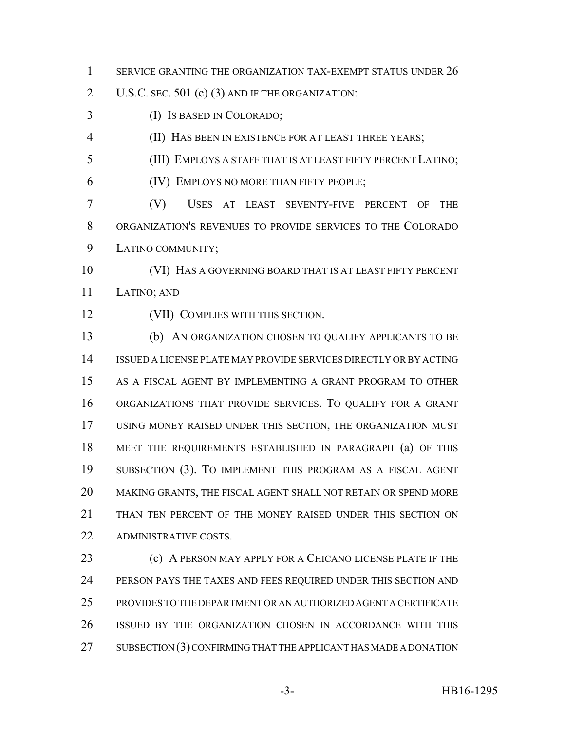- 1 SERVICE GRANTING THE ORGANIZATION TAX-EXEMPT STATUS UNDER 26
- U.S.C. SEC. 501 (c) (3) AND IF THE ORGANIZATION:
- (I) IS BASED IN COLORADO;
- (II) HAS BEEN IN EXISTENCE FOR AT LEAST THREE YEARS;
- (III) EMPLOYS A STAFF THAT IS AT LEAST FIFTY PERCENT LATINO;
- (IV) EMPLOYS NO MORE THAN FIFTY PEOPLE;
- (V) USES AT LEAST SEVENTY-FIVE PERCENT OF THE ORGANIZATION'S REVENUES TO PROVIDE SERVICES TO THE COLORADO LATINO COMMUNITY;
- (VI) HAS A GOVERNING BOARD THAT IS AT LEAST FIFTY PERCENT LATINO; AND
- (VII) COMPLIES WITH THIS SECTION.
- (b) AN ORGANIZATION CHOSEN TO QUALIFY APPLICANTS TO BE ISSUED A LICENSE PLATE MAY PROVIDE SERVICES DIRECTLY OR BY ACTING AS A FISCAL AGENT BY IMPLEMENTING A GRANT PROGRAM TO OTHER ORGANIZATIONS THAT PROVIDE SERVICES. TO QUALIFY FOR A GRANT USING MONEY RAISED UNDER THIS SECTION, THE ORGANIZATION MUST MEET THE REQUIREMENTS ESTABLISHED IN PARAGRAPH (a) OF THIS SUBSECTION (3). TO IMPLEMENT THIS PROGRAM AS A FISCAL AGENT MAKING GRANTS, THE FISCAL AGENT SHALL NOT RETAIN OR SPEND MORE 21 THAN TEN PERCENT OF THE MONEY RAISED UNDER THIS SECTION ON 22 ADMINISTRATIVE COSTS
- **(c)** A PERSON MAY APPLY FOR A CHICANO LICENSE PLATE IF THE 24 PERSON PAYS THE TAXES AND FEES REQUIRED UNDER THIS SECTION AND PROVIDES TO THE DEPARTMENT OR AN AUTHORIZED AGENT A CERTIFICATE ISSUED BY THE ORGANIZATION CHOSEN IN ACCORDANCE WITH THIS 27 SUBSECTION (3) CONFIRMING THAT THE APPLICANT HAS MADE A DONATION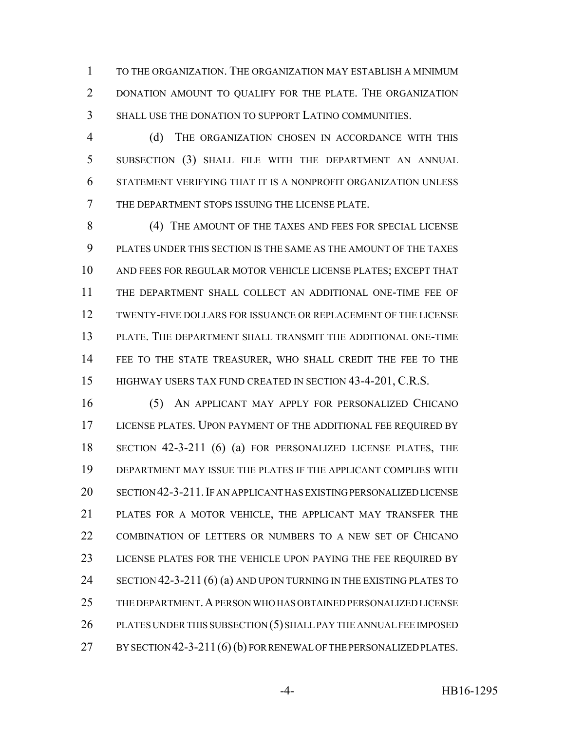TO THE ORGANIZATION. THE ORGANIZATION MAY ESTABLISH A MINIMUM DONATION AMOUNT TO QUALIFY FOR THE PLATE. THE ORGANIZATION SHALL USE THE DONATION TO SUPPORT LATINO COMMUNITIES.

 (d) THE ORGANIZATION CHOSEN IN ACCORDANCE WITH THIS SUBSECTION (3) SHALL FILE WITH THE DEPARTMENT AN ANNUAL STATEMENT VERIFYING THAT IT IS A NONPROFIT ORGANIZATION UNLESS THE DEPARTMENT STOPS ISSUING THE LICENSE PLATE.

 (4) THE AMOUNT OF THE TAXES AND FEES FOR SPECIAL LICENSE PLATES UNDER THIS SECTION IS THE SAME AS THE AMOUNT OF THE TAXES AND FEES FOR REGULAR MOTOR VEHICLE LICENSE PLATES; EXCEPT THAT THE DEPARTMENT SHALL COLLECT AN ADDITIONAL ONE-TIME FEE OF TWENTY-FIVE DOLLARS FOR ISSUANCE OR REPLACEMENT OF THE LICENSE PLATE. THE DEPARTMENT SHALL TRANSMIT THE ADDITIONAL ONE-TIME FEE TO THE STATE TREASURER, WHO SHALL CREDIT THE FEE TO THE 15 HIGHWAY USERS TAX FUND CREATED IN SECTION 43-4-201, C.R.S.

 (5) AN APPLICANT MAY APPLY FOR PERSONALIZED CHICANO LICENSE PLATES. UPON PAYMENT OF THE ADDITIONAL FEE REQUIRED BY SECTION 42-3-211 (6) (a) FOR PERSONALIZED LICENSE PLATES, THE DEPARTMENT MAY ISSUE THE PLATES IF THE APPLICANT COMPLIES WITH SECTION 42-3-211.IF AN APPLICANT HAS EXISTING PERSONALIZED LICENSE PLATES FOR A MOTOR VEHICLE, THE APPLICANT MAY TRANSFER THE COMBINATION OF LETTERS OR NUMBERS TO A NEW SET OF CHICANO LICENSE PLATES FOR THE VEHICLE UPON PAYING THE FEE REQUIRED BY 24 SECTION 42-3-211 (6) (a) AND UPON TURNING IN THE EXISTING PLATES TO THE DEPARTMENT.A PERSON WHO HAS OBTAINED PERSONALIZED LICENSE PLATES UNDER THIS SUBSECTION (5) SHALL PAY THE ANNUAL FEE IMPOSED 27 BY SECTION 42-3-211 (6) (b) FOR RENEWAL OF THE PERSONALIZED PLATES.